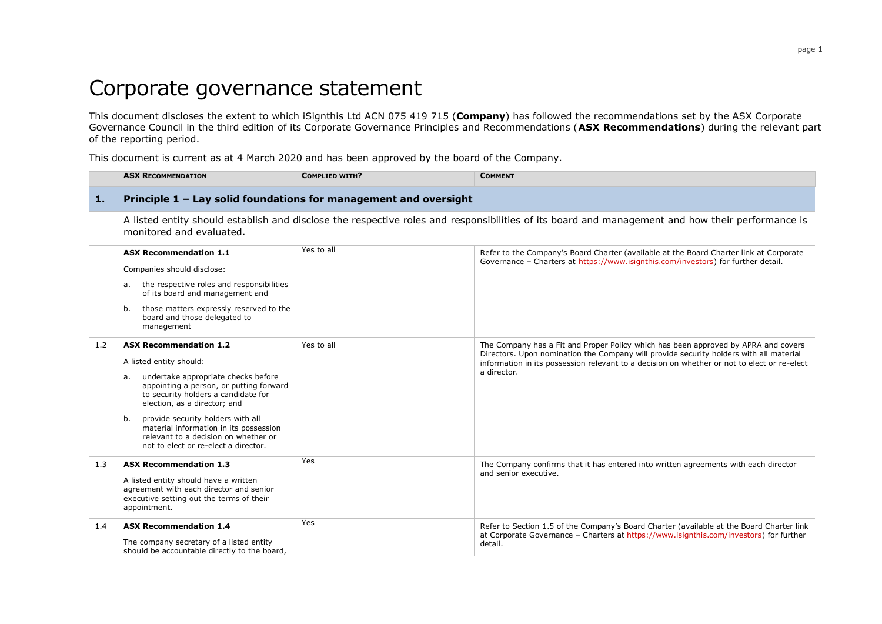## Corporate governance statement

This document discloses the extent to which iSignthis Ltd ACN 075 419 715 (**Company**) has followed the recommendations set by the ASX Corporate Governance Council in the third edition of its Corporate Governance Principles and Recommendations (**ASX Recommendations**) during the relevant part of the reporting period.

This document is current as at 4 March 2020 and has been approved by the board of the Company.

|     | <b>ASX RECOMMENDATION</b>                                                                                                                                                                                                                                                                                                                                                                    | <b>COMPLIED WITH?</b> | <b>COMMENT</b>                                                                                                                                                                                                                                                                             |
|-----|----------------------------------------------------------------------------------------------------------------------------------------------------------------------------------------------------------------------------------------------------------------------------------------------------------------------------------------------------------------------------------------------|-----------------------|--------------------------------------------------------------------------------------------------------------------------------------------------------------------------------------------------------------------------------------------------------------------------------------------|
| 1.  | Principle 1 - Lay solid foundations for management and oversight                                                                                                                                                                                                                                                                                                                             |                       |                                                                                                                                                                                                                                                                                            |
|     | A listed entity should establish and disclose the respective roles and responsibilities of its board and management and how their performance is<br>monitored and evaluated.                                                                                                                                                                                                                 |                       |                                                                                                                                                                                                                                                                                            |
|     | <b>ASX Recommendation 1.1</b><br>Companies should disclose:<br>the respective roles and responsibilities<br>а.<br>of its board and management and<br>those matters expressly reserved to the<br>b.<br>board and those delegated to<br>management                                                                                                                                             | Yes to all            | Refer to the Company's Board Charter (available at the Board Charter link at Corporate<br>Governance - Charters at https://www.isignthis.com/investors) for further detail.                                                                                                                |
| 1.2 | <b>ASX Recommendation 1.2</b><br>A listed entity should:<br>undertake appropriate checks before<br>а.<br>appointing a person, or putting forward<br>to security holders a candidate for<br>election, as a director; and<br>provide security holders with all<br>b.<br>material information in its possession<br>relevant to a decision on whether or<br>not to elect or re-elect a director. | Yes to all            | The Company has a Fit and Proper Policy which has been approved by APRA and covers<br>Directors. Upon nomination the Company will provide security holders with all material<br>information in its possession relevant to a decision on whether or not to elect or re-elect<br>a director. |
| 1.3 | <b>ASX Recommendation 1.3</b><br>A listed entity should have a written<br>agreement with each director and senior<br>executive setting out the terms of their<br>appointment.                                                                                                                                                                                                                | Yes                   | The Company confirms that it has entered into written agreements with each director<br>and senior executive.                                                                                                                                                                               |
| 1.4 | <b>ASX Recommendation 1.4</b><br>The company secretary of a listed entity<br>should be accountable directly to the board,                                                                                                                                                                                                                                                                    | Yes                   | Refer to Section 1.5 of the Company's Board Charter (available at the Board Charter link<br>at Corporate Governance - Charters at https://www.isignthis.com/investors) for further<br>detail.                                                                                              |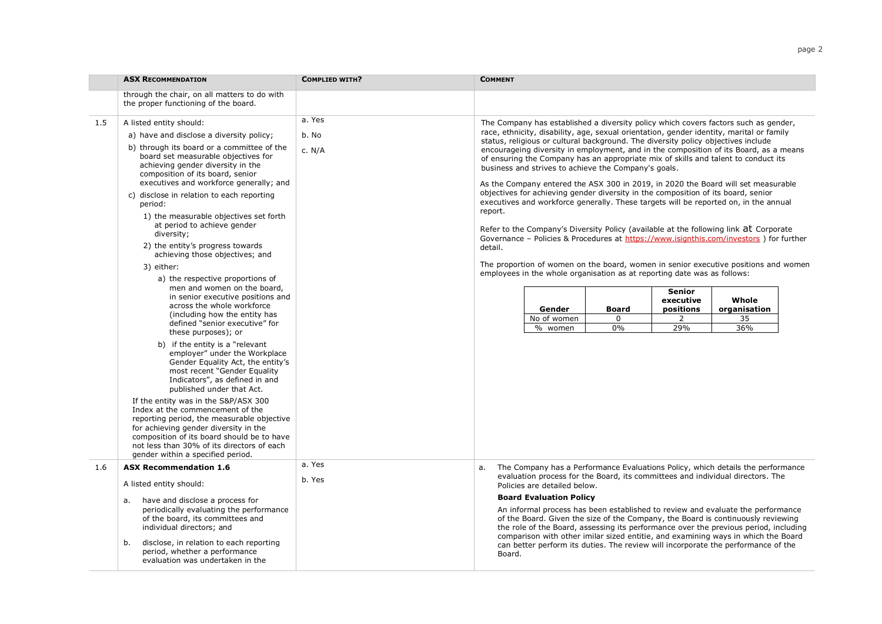|     | <b>ASX RECOMMENDATION</b>                                                                                                                                                                                                                                                                                                                                                                                                                                                                          | <b>COMPLIED WITH?</b>     | <b>COMMENT</b>                                                                                                                                                                                                                                                                                                                                                                                                                                                                                                                                                                                                                                                                                                                                                                                                                                                                                                                                                                          |  |
|-----|----------------------------------------------------------------------------------------------------------------------------------------------------------------------------------------------------------------------------------------------------------------------------------------------------------------------------------------------------------------------------------------------------------------------------------------------------------------------------------------------------|---------------------------|-----------------------------------------------------------------------------------------------------------------------------------------------------------------------------------------------------------------------------------------------------------------------------------------------------------------------------------------------------------------------------------------------------------------------------------------------------------------------------------------------------------------------------------------------------------------------------------------------------------------------------------------------------------------------------------------------------------------------------------------------------------------------------------------------------------------------------------------------------------------------------------------------------------------------------------------------------------------------------------------|--|
|     | through the chair, on all matters to do with<br>the proper functioning of the board.                                                                                                                                                                                                                                                                                                                                                                                                               |                           |                                                                                                                                                                                                                                                                                                                                                                                                                                                                                                                                                                                                                                                                                                                                                                                                                                                                                                                                                                                         |  |
| 1.5 | A listed entity should:<br>a) have and disclose a diversity policy;<br>b) through its board or a committee of the<br>board set measurable objectives for<br>achieving gender diversity in the<br>composition of its board, senior<br>executives and workforce generally; and<br>c) disclose in relation to each reporting<br>period:<br>1) the measurable objectives set forth<br>at period to achieve gender<br>diversity;<br>2) the entity's progress towards<br>achieving those objectives; and | a. Yes<br>b. No<br>c. N/A | The Company has established a diversity policy which covers factors such as gender,<br>race, ethnicity, disability, age, sexual orientation, gender identity, marital or family<br>status, religious or cultural background. The diversity policy objectives include<br>encourageing diversity in employment, and in the composition of its Board, as a means<br>of ensuring the Company has an appropriate mix of skills and talent to conduct its<br>business and strives to achieve the Company's goals.<br>As the Company entered the ASX 300 in 2019, in 2020 the Board will set measurable<br>objectives for achieving gender diversity in the composition of its board, senior<br>executives and workforce generally. These targets will be reported on, in the annual<br>report.<br>Refer to the Company's Diversity Policy (available at the following link at Corporate<br>Governance - Policies & Procedures at https://www.isignthis.com/investors ) for further<br>detail. |  |
|     | 3) either:<br>a) the respective proportions of<br>men and women on the board,<br>in senior executive positions and<br>across the whole workforce<br>(including how the entity has<br>defined "senior executive" for<br>these purposes); or<br>b) if the entity is a "relevant<br>employer" under the Workplace<br>Gender Equality Act, the entity's<br>most recent "Gender Equality<br>Indicators", as defined in and<br>published under that Act.                                                 |                           | The proportion of women on the board, women in senior executive positions and women<br>employees in the whole organisation as at reporting date was as follows:<br><b>Senior</b><br>executive<br>Whole<br>positions<br>organisation<br>Gender<br><b>Board</b><br>No of women<br>2<br>35<br>0<br>29%<br>% women<br>0%<br>36%                                                                                                                                                                                                                                                                                                                                                                                                                                                                                                                                                                                                                                                             |  |
|     | If the entity was in the S&P/ASX 300<br>Index at the commencement of the<br>reporting period, the measurable objective<br>for achieving gender diversity in the<br>composition of its board should be to have<br>not less than 30% of its directors of each<br>gender within a specified period.                                                                                                                                                                                                   |                           |                                                                                                                                                                                                                                                                                                                                                                                                                                                                                                                                                                                                                                                                                                                                                                                                                                                                                                                                                                                         |  |
| 1.6 | <b>ASX Recommendation 1.6</b><br>A listed entity should:<br>have and disclose a process for<br>а.<br>periodically evaluating the performance<br>of the board, its committees and<br>individual directors; and<br>disclose, in relation to each reporting<br>b.<br>period, whether a performance<br>evaluation was undertaken in the                                                                                                                                                                | a. Yes<br>b. Yes          | The Company has a Performance Evaluations Policy, which details the performance<br>a.<br>evaluation process for the Board, its committees and individual directors. The<br>Policies are detailed below.<br><b>Board Evaluation Policy</b><br>An informal process has been established to review and evaluate the performance<br>of the Board. Given the size of the Company, the Board is continuously reviewing<br>the role of the Board, assessing its performance over the previous period, including<br>comparison with other imilar sized entitie, and examining ways in which the Board<br>can better perform its duties. The review will incorporate the performance of the<br>Board.                                                                                                                                                                                                                                                                                            |  |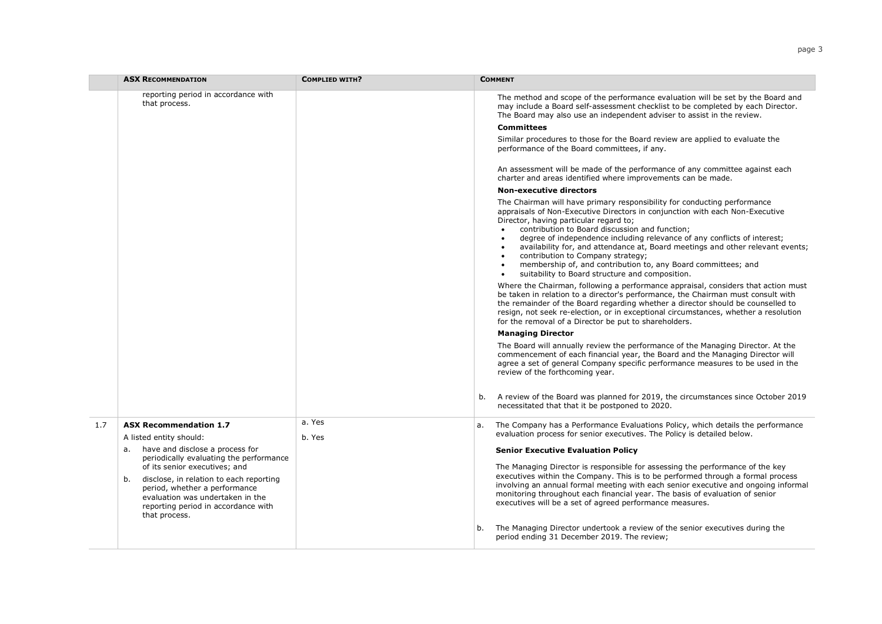|     | <b>ASX RECOMMENDATION</b>                                                                                                                                                                                                                                                                                                                                | <b>COMPLIED WITH?</b> | <b>COMMENT</b>                                                                                                                                                                                                                                                                                                                                                                                                                                                                                                                                                                                                                                                                                                                                                                                                                                                                                                                                                                                                                                                                                                                                                                                                                                                                                                                                                                                                                                                                                                                                                                                                                                                                                                                                                                                                                                                                                                                                                                                                                                               |
|-----|----------------------------------------------------------------------------------------------------------------------------------------------------------------------------------------------------------------------------------------------------------------------------------------------------------------------------------------------------------|-----------------------|--------------------------------------------------------------------------------------------------------------------------------------------------------------------------------------------------------------------------------------------------------------------------------------------------------------------------------------------------------------------------------------------------------------------------------------------------------------------------------------------------------------------------------------------------------------------------------------------------------------------------------------------------------------------------------------------------------------------------------------------------------------------------------------------------------------------------------------------------------------------------------------------------------------------------------------------------------------------------------------------------------------------------------------------------------------------------------------------------------------------------------------------------------------------------------------------------------------------------------------------------------------------------------------------------------------------------------------------------------------------------------------------------------------------------------------------------------------------------------------------------------------------------------------------------------------------------------------------------------------------------------------------------------------------------------------------------------------------------------------------------------------------------------------------------------------------------------------------------------------------------------------------------------------------------------------------------------------------------------------------------------------------------------------------------------------|
|     | reporting period in accordance with<br>that process.                                                                                                                                                                                                                                                                                                     |                       | The method and scope of the performance evaluation will be set by the Board and<br>may include a Board self-assessment checklist to be completed by each Director.<br>The Board may also use an independent adviser to assist in the review.<br><b>Committees</b><br>Similar procedures to those for the Board review are applied to evaluate the<br>performance of the Board committees, if any.<br>An assessment will be made of the performance of any committee against each<br>charter and areas identified where improvements can be made.<br><b>Non-executive directors</b><br>The Chairman will have primary responsibility for conducting performance<br>appraisals of Non-Executive Directors in conjunction with each Non-Executive<br>Director, having particular regard to;<br>contribution to Board discussion and function;<br>degree of independence including relevance of any conflicts of interest;<br>availability for, and attendance at, Board meetings and other relevant events;<br>$\bullet$<br>contribution to Company strategy;<br>membership of, and contribution to, any Board committees; and<br>suitability to Board structure and composition.<br>Where the Chairman, following a performance appraisal, considers that action must<br>be taken in relation to a director's performance, the Chairman must consult with<br>the remainder of the Board regarding whether a director should be counselled to<br>resign, not seek re-election, or in exceptional circumstances, whether a resolution<br>for the removal of a Director be put to shareholders.<br><b>Managing Director</b><br>The Board will annually review the performance of the Managing Director. At the<br>commencement of each financial year, the Board and the Managing Director will<br>agree a set of general Company specific performance measures to be used in the<br>review of the forthcoming year.<br>A review of the Board was planned for 2019, the circumstances since October 2019<br>b.<br>necessitated that that it be postponed to 2020. |
| 1.7 | <b>ASX Recommendation 1.7</b><br>A listed entity should:<br>a. have and disclose a process for<br>periodically evaluating the performance<br>of its senior executives; and<br>disclose, in relation to each reporting<br>b.<br>period, whether a performance<br>evaluation was undertaken in the<br>reporting period in accordance with<br>that process. | a. Yes<br>b. Yes      | The Company has a Performance Evaluations Policy, which details the performance<br>a.<br>evaluation process for senior executives. The Policy is detailed below.<br><b>Senior Executive Evaluation Policy</b><br>The Managing Director is responsible for assessing the performance of the key<br>executives within the Company. This is to be performed through a formal process<br>involving an annual formal meeting with each senior executive and ongoing informal<br>monitoring throughout each financial year. The basis of evaluation of senior<br>executives will be a set of agreed performance measures.<br>The Managing Director undertook a review of the senior executives during the<br>b.<br>period ending 31 December 2019. The review;                                                                                                                                                                                                                                                                                                                                                                                                                                                                                                                                                                                                                                                                                                                                                                                                                                                                                                                                                                                                                                                                                                                                                                                                                                                                                                     |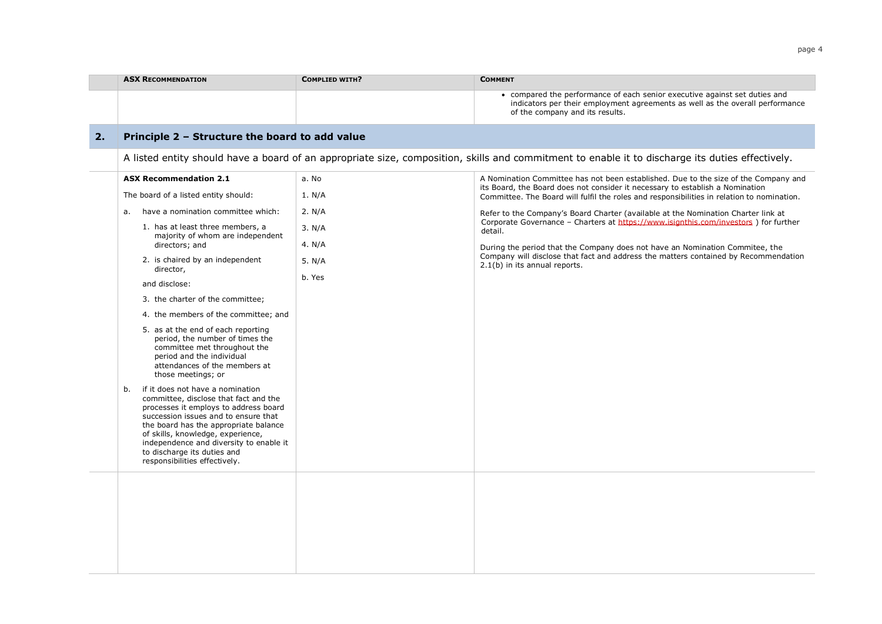|    | <b>ASX RECOMMENDATION</b>                                                                                                                                                                                                                                                                                                                                 | <b>COMPLIED WITH?</b> | <b>COMMENT</b>                                                                                                                                                                                 |
|----|-----------------------------------------------------------------------------------------------------------------------------------------------------------------------------------------------------------------------------------------------------------------------------------------------------------------------------------------------------------|-----------------------|------------------------------------------------------------------------------------------------------------------------------------------------------------------------------------------------|
|    |                                                                                                                                                                                                                                                                                                                                                           |                       | • compared the performance of each senior executive against set duties and<br>indicators per their employment agreements as well as the overall performance<br>of the company and its results. |
| 2. | Principle 2 - Structure the board to add value                                                                                                                                                                                                                                                                                                            |                       |                                                                                                                                                                                                |
|    |                                                                                                                                                                                                                                                                                                                                                           |                       | A listed entity should have a board of an appropriate size, composition, skills and commitment to enable it to discharge its duties effectively.                                               |
|    | <b>ASX Recommendation 2.1</b>                                                                                                                                                                                                                                                                                                                             | a. No                 | A Nomination Committee has not been established. Due to the size of the Company and<br>its Board, the Board does not consider it necessary to establish a Nomination                           |
|    | The board of a listed entity should:                                                                                                                                                                                                                                                                                                                      | 1. N/A                | Committee. The Board will fulfil the roles and responsibilities in relation to nomination.                                                                                                     |
|    | have a nomination committee which:<br>a.                                                                                                                                                                                                                                                                                                                  | 2. N/A                | Refer to the Company's Board Charter (available at the Nomination Charter link at<br>Corporate Governance - Charters at https://www.isignthis.com/investors ) for further                      |
|    | 1. has at least three members, a<br>majority of whom are independent                                                                                                                                                                                                                                                                                      | 3. N/A                | detail.                                                                                                                                                                                        |
|    | directors; and                                                                                                                                                                                                                                                                                                                                            | 4. $N/A$              | During the period that the Company does not have an Nomination Commitee, the<br>Company will disclose that fact and address the matters contained by Recommendation                            |
|    | 2. is chaired by an independent<br>director,                                                                                                                                                                                                                                                                                                              | 5. N/A                | 2.1(b) in its annual reports.                                                                                                                                                                  |
|    | and disclose:                                                                                                                                                                                                                                                                                                                                             | b. Yes                |                                                                                                                                                                                                |
|    | 3. the charter of the committee;                                                                                                                                                                                                                                                                                                                          |                       |                                                                                                                                                                                                |
|    | 4. the members of the committee; and                                                                                                                                                                                                                                                                                                                      |                       |                                                                                                                                                                                                |
|    | 5. as at the end of each reporting<br>period, the number of times the<br>committee met throughout the<br>period and the individual<br>attendances of the members at<br>those meetings; or                                                                                                                                                                 |                       |                                                                                                                                                                                                |
|    | if it does not have a nomination<br>b.<br>committee, disclose that fact and the<br>processes it employs to address board<br>succession issues and to ensure that<br>the board has the appropriate balance<br>of skills, knowledge, experience,<br>independence and diversity to enable it<br>to discharge its duties and<br>responsibilities effectively. |                       |                                                                                                                                                                                                |
|    |                                                                                                                                                                                                                                                                                                                                                           |                       |                                                                                                                                                                                                |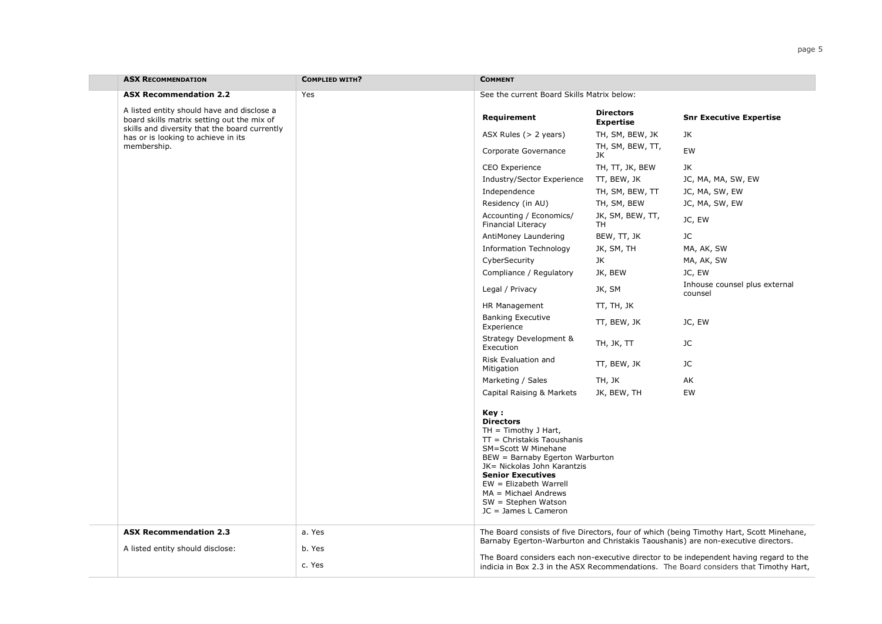| <b>ASX RECOMMENDATION</b>                                                                | <b>COMPLIED WITH?</b> | <b>COMMENT</b>                                                                                                                                                                                                                                                                                               |                                      |                                                                                                                                                                                 |
|------------------------------------------------------------------------------------------|-----------------------|--------------------------------------------------------------------------------------------------------------------------------------------------------------------------------------------------------------------------------------------------------------------------------------------------------------|--------------------------------------|---------------------------------------------------------------------------------------------------------------------------------------------------------------------------------|
| <b>ASX Recommendation 2.2</b>                                                            | Yes                   | See the current Board Skills Matrix below:                                                                                                                                                                                                                                                                   |                                      |                                                                                                                                                                                 |
| A listed entity should have and disclose a<br>board skills matrix setting out the mix of |                       | Requirement                                                                                                                                                                                                                                                                                                  | <b>Directors</b><br><b>Expertise</b> | <b>Snr Executive Expertise</b>                                                                                                                                                  |
| skills and diversity that the board currently<br>has or is looking to achieve in its     |                       | ASX Rules $(> 2$ years)                                                                                                                                                                                                                                                                                      | TH, SM, BEW, JK                      | JK                                                                                                                                                                              |
| membership.                                                                              |                       | Corporate Governance                                                                                                                                                                                                                                                                                         | TH, SM, BEW, TT,<br>JK               | EW                                                                                                                                                                              |
|                                                                                          |                       | CEO Experience                                                                                                                                                                                                                                                                                               | TH, TT, JK, BEW                      | JK                                                                                                                                                                              |
|                                                                                          |                       | Industry/Sector Experience                                                                                                                                                                                                                                                                                   | TT, BEW, JK                          | JC, MA, MA, SW, EW                                                                                                                                                              |
|                                                                                          |                       | Independence                                                                                                                                                                                                                                                                                                 | TH, SM, BEW, TT                      | JC, MA, SW, EW                                                                                                                                                                  |
|                                                                                          |                       | Residency (in AU)                                                                                                                                                                                                                                                                                            | TH, SM, BEW                          | JC, MA, SW, EW                                                                                                                                                                  |
|                                                                                          |                       | Accounting / Economics/<br><b>Financial Literacy</b>                                                                                                                                                                                                                                                         | JK, SM, BEW, TT,<br>TH               | JC, EW                                                                                                                                                                          |
|                                                                                          |                       | AntiMoney Laundering                                                                                                                                                                                                                                                                                         | BEW, TT, JK                          | JС                                                                                                                                                                              |
|                                                                                          |                       | <b>Information Technology</b>                                                                                                                                                                                                                                                                                | JK, SM, TH                           | MA, AK, SW                                                                                                                                                                      |
|                                                                                          |                       | CyberSecurity                                                                                                                                                                                                                                                                                                | JK                                   | MA, AK, SW                                                                                                                                                                      |
|                                                                                          |                       | Compliance / Regulatory                                                                                                                                                                                                                                                                                      | JK, BEW                              | JC, EW                                                                                                                                                                          |
|                                                                                          |                       | Legal / Privacy                                                                                                                                                                                                                                                                                              | JK, SM                               | Inhouse counsel plus external<br>counsel                                                                                                                                        |
|                                                                                          |                       | HR Management                                                                                                                                                                                                                                                                                                | TT, TH, JK                           |                                                                                                                                                                                 |
|                                                                                          |                       | <b>Banking Executive</b><br>Experience                                                                                                                                                                                                                                                                       | TT, BEW, JK                          | JC, EW                                                                                                                                                                          |
|                                                                                          |                       | Strategy Development &<br>Execution                                                                                                                                                                                                                                                                          | TH, JK, TT                           | JC                                                                                                                                                                              |
|                                                                                          |                       | Risk Evaluation and<br>Mitigation                                                                                                                                                                                                                                                                            | TT, BEW, JK                          | JС                                                                                                                                                                              |
|                                                                                          |                       | Marketing / Sales                                                                                                                                                                                                                                                                                            | TH, JK                               | AK                                                                                                                                                                              |
|                                                                                          |                       | Capital Raising & Markets                                                                                                                                                                                                                                                                                    | JK, BEW, TH                          | EW                                                                                                                                                                              |
|                                                                                          |                       | Key:<br><b>Directors</b><br>$TH = Timothy J Hart,$<br>$TT =$ Christakis Taoushanis<br>SM=Scott W Minehane<br>BEW = Barnaby Egerton Warburton<br>JK= Nickolas John Karantzis<br><b>Senior Executives</b><br>$EW = Elizabeth Warrell$<br>$MA = Michael Andrews$<br>SW = Stephen Watson<br>JC = James L Cameron |                                      |                                                                                                                                                                                 |
| <b>ASX Recommendation 2.3</b>                                                            | a. Yes                |                                                                                                                                                                                                                                                                                                              |                                      | The Board consists of five Directors, four of which (being Timothy Hart, Scott Minehane,                                                                                        |
| A listed entity should disclose:                                                         | b. Yes                | Barnaby Egerton-Warburton and Christakis Taoushanis) are non-executive directors.                                                                                                                                                                                                                            |                                      |                                                                                                                                                                                 |
|                                                                                          | c. Yes                |                                                                                                                                                                                                                                                                                                              |                                      | The Board considers each non-executive director to be independent having regard to the<br>indicia in Box 2.3 in the ASX Recommendations. The Board considers that Timothy Hart, |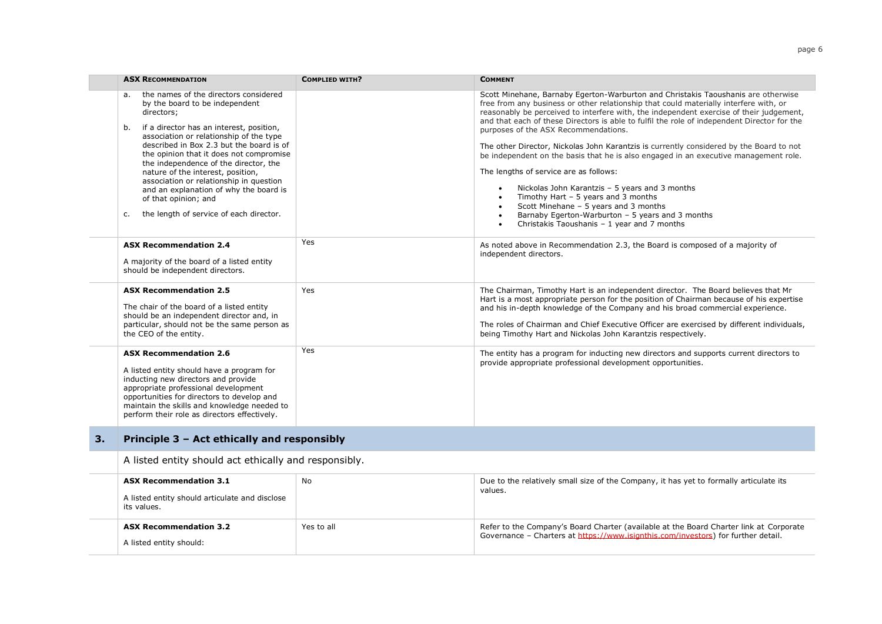| <b>COMPLIED WITH?</b>                    | <b>COMMENT</b>                                                                                                                                                                                                                                                                                                                                                                                                                                                                                                                                                                                                                                                                                                                                                                                                                                                                                                                                   |
|------------------------------------------|--------------------------------------------------------------------------------------------------------------------------------------------------------------------------------------------------------------------------------------------------------------------------------------------------------------------------------------------------------------------------------------------------------------------------------------------------------------------------------------------------------------------------------------------------------------------------------------------------------------------------------------------------------------------------------------------------------------------------------------------------------------------------------------------------------------------------------------------------------------------------------------------------------------------------------------------------|
|                                          | Scott Minehane, Barnaby Egerton-Warburton and Christakis Taoushanis are otherwise<br>free from any business or other relationship that could materially interfere with, or<br>reasonably be perceived to interfere with, the independent exercise of their judgement,<br>and that each of these Directors is able to fulfil the role of independent Director for the<br>purposes of the ASX Recommendations.<br>The other Director, Nickolas John Karantzis is currently considered by the Board to not<br>be independent on the basis that he is also engaged in an executive management role.<br>The lengths of service are as follows:<br>Nickolas John Karantzis - 5 years and 3 months<br>$\bullet$<br>Timothy Hart $-5$ years and 3 months<br>$\bullet$<br>Scott Minehane - 5 years and 3 months<br>$\bullet$<br>Barnaby Egerton-Warburton - 5 years and 3 months<br>$\bullet$<br>Christakis Taoushanis - 1 year and 7 months<br>$\bullet$ |
| Yes                                      | As noted above in Recommendation 2.3, the Board is composed of a majority of<br>independent directors.                                                                                                                                                                                                                                                                                                                                                                                                                                                                                                                                                                                                                                                                                                                                                                                                                                           |
| Yes                                      | The Chairman, Timothy Hart is an independent director. The Board believes that Mr<br>Hart is a most appropriate person for the position of Chairman because of his expertise<br>and his in-depth knowledge of the Company and his broad commercial experience.<br>The roles of Chairman and Chief Executive Officer are exercised by different individuals,<br>being Timothy Hart and Nickolas John Karantzis respectively.                                                                                                                                                                                                                                                                                                                                                                                                                                                                                                                      |
| Yes.                                     | The entity has a program for inducting new directors and supports current directors to<br>provide appropriate professional development opportunities.                                                                                                                                                                                                                                                                                                                                                                                                                                                                                                                                                                                                                                                                                                                                                                                            |
| described in Box 2.3 but the board is of | the opinion that it does not compromise                                                                                                                                                                                                                                                                                                                                                                                                                                                                                                                                                                                                                                                                                                                                                                                                                                                                                                          |

A listed entity should act ethically and responsibly.

| <b>ASX Recommendation 3.1</b><br>A listed entity should articulate and disclose<br>its values. | No         | Due to the relatively small size of the Company, it has yet to formally articulate its<br>values.                                                                           |
|------------------------------------------------------------------------------------------------|------------|-----------------------------------------------------------------------------------------------------------------------------------------------------------------------------|
| <b>ASX Recommendation 3.2</b><br>A listed entity should:                                       | Yes to all | Refer to the Company's Board Charter (available at the Board Charter link at Corporate<br>Governance - Charters at https://www.isignthis.com/investors) for further detail. |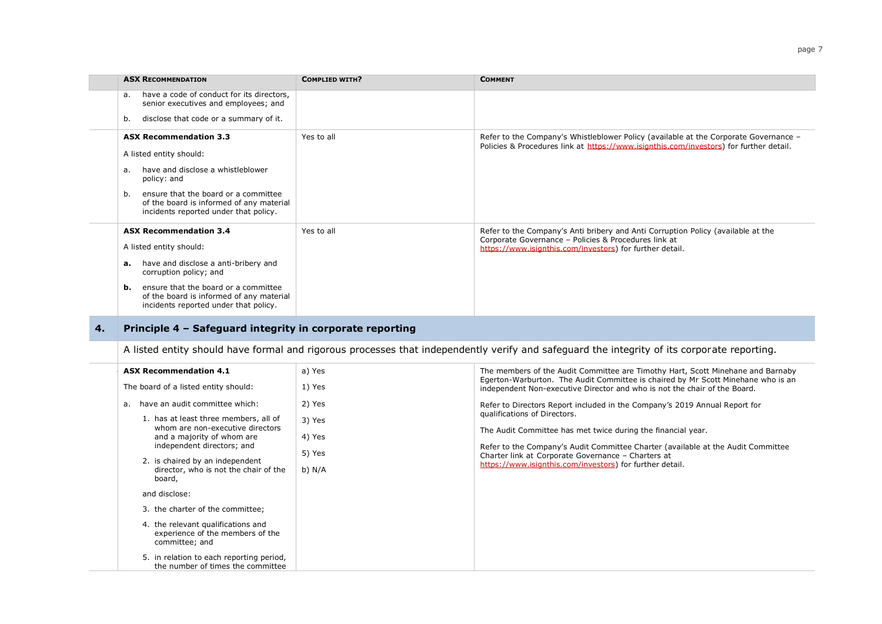|    | <b>ASX RECOMMENDATION</b>                                                                                                                   | <b>COMPLIED WITH?</b> | <b>COMMENT</b>                                                                                                                                                                                       |
|----|---------------------------------------------------------------------------------------------------------------------------------------------|-----------------------|------------------------------------------------------------------------------------------------------------------------------------------------------------------------------------------------------|
|    | have a code of conduct for its directors,<br>a.<br>senior executives and employees; and                                                     |                       |                                                                                                                                                                                                      |
|    | disclose that code or a summary of it.<br>b.                                                                                                |                       |                                                                                                                                                                                                      |
|    | <b>ASX Recommendation 3.3</b><br>A listed entity should:                                                                                    | Yes to all            | Refer to the Company's Whistleblower Policy (available at the Corporate Governance -<br>Policies & Procedures link at https://www.isignthis.com/investors) for further detail.                       |
|    | have and disclose a whistleblower<br>a.<br>policy: and                                                                                      |                       |                                                                                                                                                                                                      |
|    | ensure that the board or a committee<br>b.<br>of the board is informed of any material<br>incidents reported under that policy.             |                       |                                                                                                                                                                                                      |
|    | <b>ASX Recommendation 3.4</b><br>A listed entity should:                                                                                    | Yes to all            | Refer to the Company's Anti bribery and Anti Corruption Policy (available at the<br>Corporate Governance - Policies & Procedures link at<br>https://www.isignthis.com/investors) for further detail. |
|    | have and disclose a anti-bribery and<br>а.<br>corruption policy; and                                                                        |                       |                                                                                                                                                                                                      |
|    | ensure that the board or a committee<br>b.<br>of the board is informed of any material<br>incidents reported under that policy.             |                       |                                                                                                                                                                                                      |
| 4. | Principle 4 - Safeguard integrity in corporate reporting                                                                                    |                       |                                                                                                                                                                                                      |
|    | A listed entity should have formal and rigorous processes that independently verify and safeguard the integrity of its corporate reporting. |                       |                                                                                                                                                                                                      |
|    | <b>ASX Recommendation 4.1</b>                                                                                                               | a) Yes                | The members of the Audit Committee are Timothy Hart, Scott Minehane and Barnaby                                                                                                                      |
|    | The board of a listed entity should:                                                                                                        | 1) Yes                | Egerton-Warburton. The Audit Committee is chaired by Mr Scott Minehane who is an<br>independent Non-executive Director and who is not the chair of the Board.                                        |
|    | a. have an audit committee which:                                                                                                           | 2) Yes                | Refer to Directors Report included in the Company's 2019 Annual Report for                                                                                                                           |

| have an audit committee which:<br>а.<br>1. has at least three members, all of<br>whom are non-executive directors<br>and a majority of whom are<br>independent directors; and<br>2. is chaired by an independent<br>director, who is not the chair of the<br>board, | 2) Yes<br>3) Yes<br>4) Yes<br>5) Yes<br>b) $N/A$ | Refer to Directors Report included in the Company's 2019 Annual Report for<br>qualifications of Directors.<br>The Audit Committee has met twice during the financial year.<br>Refer to the Company's Audit Committee Charter (available at the Audit Committee<br>Charter link at Corporate Governance - Charters at<br>https://www.isignthis.com/investors) for further detail. |
|---------------------------------------------------------------------------------------------------------------------------------------------------------------------------------------------------------------------------------------------------------------------|--------------------------------------------------|----------------------------------------------------------------------------------------------------------------------------------------------------------------------------------------------------------------------------------------------------------------------------------------------------------------------------------------------------------------------------------|
| and disclose:                                                                                                                                                                                                                                                       |                                                  |                                                                                                                                                                                                                                                                                                                                                                                  |
| 3. the charter of the committee;                                                                                                                                                                                                                                    |                                                  |                                                                                                                                                                                                                                                                                                                                                                                  |
| 4. the relevant qualifications and<br>experience of the members of the<br>committee; and                                                                                                                                                                            |                                                  |                                                                                                                                                                                                                                                                                                                                                                                  |
| 5. in relation to each reporting period,<br>the number of times the committee                                                                                                                                                                                       |                                                  |                                                                                                                                                                                                                                                                                                                                                                                  |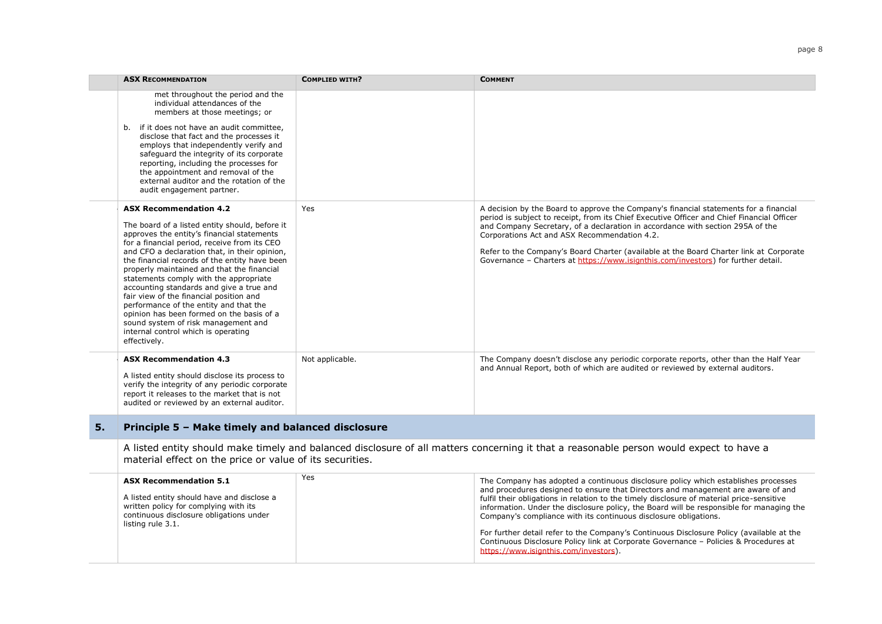| <b>ASX RECOMMENDATION</b>                                                                                                                                                                                                                                                                                                                                                                                                                                                                                                                                                                                                                           | <b>COMPLIED WITH?</b> | <b>COMMENT</b>                                                                                                                                                                                                                                                                                                                                                                                                                                                                                       |
|-----------------------------------------------------------------------------------------------------------------------------------------------------------------------------------------------------------------------------------------------------------------------------------------------------------------------------------------------------------------------------------------------------------------------------------------------------------------------------------------------------------------------------------------------------------------------------------------------------------------------------------------------------|-----------------------|------------------------------------------------------------------------------------------------------------------------------------------------------------------------------------------------------------------------------------------------------------------------------------------------------------------------------------------------------------------------------------------------------------------------------------------------------------------------------------------------------|
| met throughout the period and the<br>individual attendances of the<br>members at those meetings; or<br>if it does not have an audit committee,<br>b.<br>disclose that fact and the processes it<br>employs that independently verify and<br>safequard the integrity of its corporate<br>reporting, including the processes for<br>the appointment and removal of the<br>external auditor and the rotation of the<br>audit engagement partner.                                                                                                                                                                                                       |                       |                                                                                                                                                                                                                                                                                                                                                                                                                                                                                                      |
| <b>ASX Recommendation 4.2</b><br>The board of a listed entity should, before it<br>approves the entity's financial statements<br>for a financial period, receive from its CEO<br>and CFO a declaration that, in their opinion,<br>the financial records of the entity have been<br>properly maintained and that the financial<br>statements comply with the appropriate<br>accounting standards and give a true and<br>fair view of the financial position and<br>performance of the entity and that the<br>opinion has been formed on the basis of a<br>sound system of risk management and<br>internal control which is operating<br>effectively. | Yes                   | A decision by the Board to approve the Company's financial statements for a financial<br>period is subject to receipt, from its Chief Executive Officer and Chief Financial Officer<br>and Company Secretary, of a declaration in accordance with section 295A of the<br>Corporations Act and ASX Recommendation 4.2.<br>Refer to the Company's Board Charter (available at the Board Charter link at Corporate<br>Governance - Charters at https://www.isignthis.com/investors) for further detail. |
| <b>ASX Recommendation 4.3</b><br>A listed entity should disclose its process to<br>verify the integrity of any periodic corporate<br>report it releases to the market that is not<br>audited or reviewed by an external auditor.                                                                                                                                                                                                                                                                                                                                                                                                                    | Not applicable.       | The Company doesn't disclose any periodic corporate reports, other than the Half Year<br>and Annual Report, both of which are audited or reviewed by external auditors.                                                                                                                                                                                                                                                                                                                              |

## **5. Principle 5 – Make timely and balanced disclosure**

A listed entity should make timely and balanced disclosure of all matters concerning it that a reasonable person would expect to have a material effect on the price or value of its securities.

| <b>ASX Recommendation 5.1</b>                                                                                                                       | Yes | The Company has adopted a continuous disclosure policy which establishes processes                                                                                                                                                                                                                                                            |
|-----------------------------------------------------------------------------------------------------------------------------------------------------|-----|-----------------------------------------------------------------------------------------------------------------------------------------------------------------------------------------------------------------------------------------------------------------------------------------------------------------------------------------------|
| A listed entity should have and disclose a<br>written policy for complying with its<br>continuous disclosure obligations under<br>listing rule 3.1. |     | and procedures designed to ensure that Directors and management are aware of and<br>fulfil their obligations in relation to the timely disclosure of material price-sensitive<br>information. Under the disclosure policy, the Board will be responsible for managing the<br>Company's compliance with its continuous disclosure obligations. |
|                                                                                                                                                     |     | For further detail refer to the Company's Continuous Disclosure Policy (available at the<br>Continuous Disclosure Policy link at Corporate Governance - Policies & Procedures at<br>https://www.isignthis.com/investors).                                                                                                                     |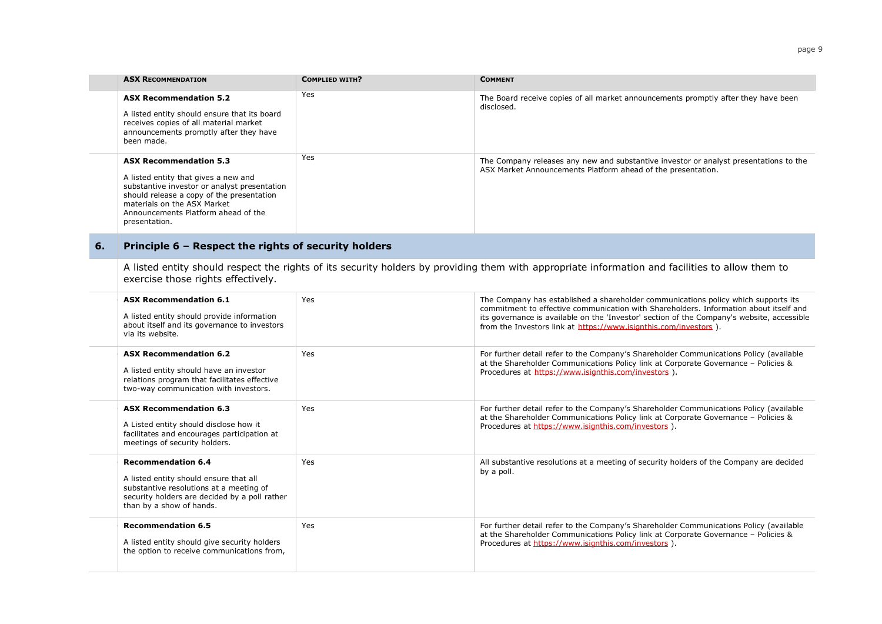|    | <b>ASX RECOMMENDATION</b>                                                                                                                                                                                                                                 | <b>COMPLIED WITH?</b> | <b>COMMENT</b>                                                                                                                                                                                                                                                                                                                                 |
|----|-----------------------------------------------------------------------------------------------------------------------------------------------------------------------------------------------------------------------------------------------------------|-----------------------|------------------------------------------------------------------------------------------------------------------------------------------------------------------------------------------------------------------------------------------------------------------------------------------------------------------------------------------------|
|    | <b>ASX Recommendation 5.2</b><br>A listed entity should ensure that its board<br>receives copies of all material market<br>announcements promptly after they have<br>been made.                                                                           | Yes                   | The Board receive copies of all market announcements promptly after they have been<br>disclosed.                                                                                                                                                                                                                                               |
|    | <b>ASX Recommendation 5.3</b><br>A listed entity that gives a new and<br>substantive investor or analyst presentation<br>should release a copy of the presentation<br>materials on the ASX Market<br>Announcements Platform ahead of the<br>presentation. | Yes                   | The Company releases any new and substantive investor or analyst presentations to the<br>ASX Market Announcements Platform ahead of the presentation.                                                                                                                                                                                          |
| 6. | Principle 6 - Respect the rights of security holders                                                                                                                                                                                                      |                       |                                                                                                                                                                                                                                                                                                                                                |
|    | exercise those rights effectively.                                                                                                                                                                                                                        |                       | A listed entity should respect the rights of its security holders by providing them with appropriate information and facilities to allow them to                                                                                                                                                                                               |
|    | <b>ASX Recommendation 6.1</b><br>A listed entity should provide information<br>about itself and its governance to investors<br>via its website.                                                                                                           | Yes                   | The Company has established a shareholder communications policy which supports its<br>commitment to effective communication with Shareholders. Information about itself and<br>its governance is available on the 'Investor' section of the Company's website, accessible<br>from the Investors link at https://www.isignthis.com/investors ). |
|    | <b>ASX Recommendation 6.2</b><br>A listed entity should have an investor<br>relations program that facilitates effective<br>two-way communication with investors.                                                                                         | Yes                   | For further detail refer to the Company's Shareholder Communications Policy (available<br>at the Shareholder Communications Policy link at Corporate Governance - Policies &<br>Procedures at https://www.jsignthis.com/investors ).                                                                                                           |
|    | <b>ASX Recommendation 6.3</b><br>A Listed entity should disclose how it<br>facilitates and encourages participation at<br>meetings of security holders.                                                                                                   | Yes                   | For further detail refer to the Company's Shareholder Communications Policy (available<br>at the Shareholder Communications Policy link at Corporate Governance - Policies &<br>Procedures at https://www.isignthis.com/investors ).                                                                                                           |
|    | <b>Recommendation 6.4</b><br>A listed entity should ensure that all<br>substantive resolutions at a meeting of<br>security holders are decided by a poll rather<br>than by a show of hands.                                                               | Yes                   | All substantive resolutions at a meeting of security holders of the Company are decided<br>by a poll.                                                                                                                                                                                                                                          |
|    | <b>Recommendation 6.5</b><br>A listed entity should give security holders<br>the option to receive communications from,                                                                                                                                   | Yes                   | For further detail refer to the Company's Shareholder Communications Policy (available<br>at the Shareholder Communications Policy link at Corporate Governance - Policies &<br>Procedures at https://www.isignthis.com/investors ).                                                                                                           |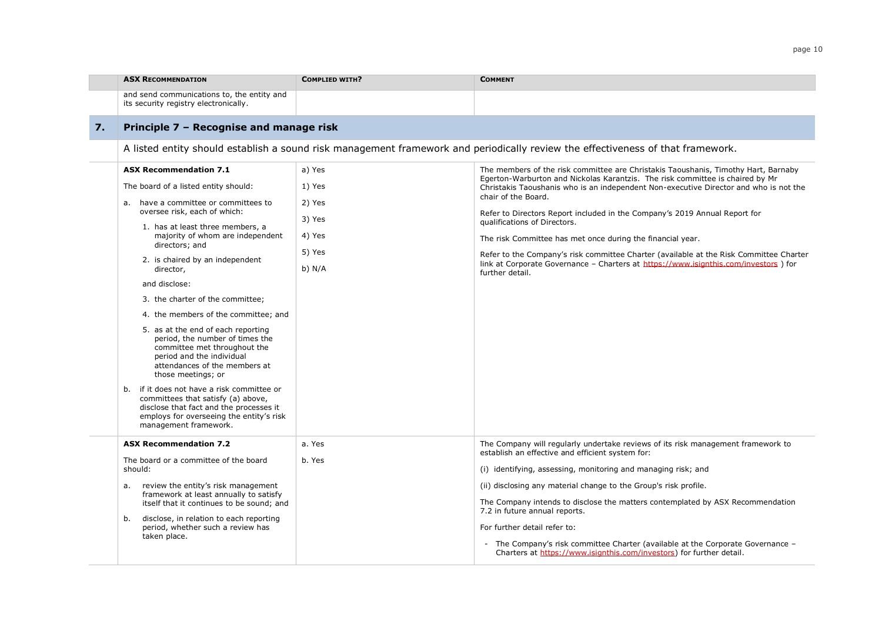|    | <b>ASX RECOMMENDATION</b>                                                                                                                                                                           | <b>COMPLIED WITH?</b> | <b>COMMENT</b>                                                                                                                                                      |  |
|----|-----------------------------------------------------------------------------------------------------------------------------------------------------------------------------------------------------|-----------------------|---------------------------------------------------------------------------------------------------------------------------------------------------------------------|--|
|    | and send communications to, the entity and<br>its security registry electronically.                                                                                                                 |                       |                                                                                                                                                                     |  |
| 7. | Principle 7 - Recognise and manage risk<br>A listed entity should establish a sound risk management framework and periodically review the effectiveness of that framework.                          |                       |                                                                                                                                                                     |  |
|    |                                                                                                                                                                                                     |                       |                                                                                                                                                                     |  |
|    | <b>ASX Recommendation 7.1</b>                                                                                                                                                                       | a) Yes                | The members of the risk committee are Christakis Taoushanis, Timothy Hart, Barnaby<br>Egerton-Warburton and Nickolas Karantzis. The risk committee is chaired by Mr |  |
|    | The board of a listed entity should:                                                                                                                                                                | 1) Yes                | Christakis Taoushanis who is an independent Non-executive Director and who is not the                                                                               |  |
|    | a. have a committee or committees to                                                                                                                                                                | 2) Yes                | chair of the Board.                                                                                                                                                 |  |
|    | oversee risk, each of which:<br>1. has at least three members, a                                                                                                                                    | 3) Yes                | Refer to Directors Report included in the Company's 2019 Annual Report for<br>qualifications of Directors.                                                          |  |
|    | majority of whom are independent<br>directors; and<br>2. is chaired by an independent<br>director,                                                                                                  | 4) Yes                | The risk Committee has met once during the financial year.                                                                                                          |  |
|    |                                                                                                                                                                                                     | 5) Yes                | Refer to the Company's risk committee Charter (available at the Risk Committee Charter                                                                              |  |
|    |                                                                                                                                                                                                     | b) $N/A$              | link at Corporate Governance - Charters at https://www.isignthis.com/investors ) for<br>further detail.                                                             |  |
|    | and disclose:                                                                                                                                                                                       |                       |                                                                                                                                                                     |  |
|    | 3. the charter of the committee;                                                                                                                                                                    |                       |                                                                                                                                                                     |  |
|    | 4. the members of the committee; and                                                                                                                                                                |                       |                                                                                                                                                                     |  |
|    | 5. as at the end of each reporting<br>period, the number of times the<br>committee met throughout the<br>period and the individual<br>attendances of the members at<br>those meetings; or           |                       |                                                                                                                                                                     |  |
|    | if it does not have a risk committee or<br>b.<br>committees that satisfy (a) above,<br>disclose that fact and the processes it<br>employs for overseeing the entity's risk<br>management framework. |                       |                                                                                                                                                                     |  |
|    | <b>ASX Recommendation 7.2</b>                                                                                                                                                                       | a. Yes                | The Company will regularly undertake reviews of its risk management framework to<br>establish an effective and efficient system for:                                |  |
|    | The board or a committee of the board<br>should:<br>review the entity's risk management<br>а.<br>framework at least annually to satisfy<br>itself that it continues to be sound; and                | b. Yes                | (i) identifying, assessing, monitoring and managing risk; and                                                                                                       |  |
|    |                                                                                                                                                                                                     |                       | (ii) disclosing any material change to the Group's risk profile.                                                                                                    |  |
|    |                                                                                                                                                                                                     |                       | The Company intends to disclose the matters contemplated by ASX Recommendation                                                                                      |  |
|    | disclose, in relation to each reporting<br>b.<br>period, whether such a review has<br>taken place.                                                                                                  |                       | 7.2 in future annual reports.                                                                                                                                       |  |
|    |                                                                                                                                                                                                     |                       | For further detail refer to:                                                                                                                                        |  |
|    |                                                                                                                                                                                                     |                       | - The Company's risk committee Charter (available at the Corporate Governance -<br>Charters at https://www.isignthis.com/investors) for further detail.             |  |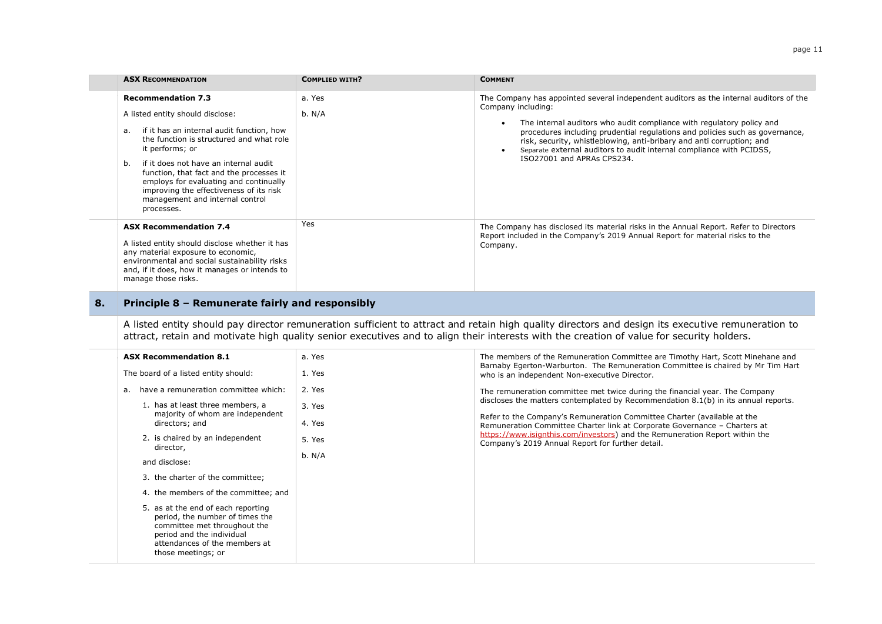| <b>ASX RECOMMENDATION</b>                                                                                                                                                                                                                                                                                                                                                                                                   | <b>COMPLIED WITH?</b> | <b>COMMENT</b>                                                                                                                                                                                                                                                                                                                                                                                                                                                                 |  |
|-----------------------------------------------------------------------------------------------------------------------------------------------------------------------------------------------------------------------------------------------------------------------------------------------------------------------------------------------------------------------------------------------------------------------------|-----------------------|--------------------------------------------------------------------------------------------------------------------------------------------------------------------------------------------------------------------------------------------------------------------------------------------------------------------------------------------------------------------------------------------------------------------------------------------------------------------------------|--|
| <b>Recommendation 7.3</b><br>A listed entity should disclose:<br>if it has an internal audit function, how<br>а.<br>the function is structured and what role<br>it performs; or<br>if it does not have an internal audit<br>b.<br>function, that fact and the processes it<br>employs for evaluating and continually<br>improving the effectiveness of its risk<br>management and internal control<br>processes.            | a. Yes<br>b. N/A      | The Company has appointed several independent auditors as the internal auditors of the<br>Company including:<br>The internal auditors who audit compliance with regulatory policy and<br>$\bullet$<br>procedures including prudential regulations and policies such as governance,<br>risk, security, whistleblowing, anti-bribary and anti corruption; and<br>Separate external auditors to audit internal compliance with PCIDSS,<br>$\bullet$<br>ISO27001 and APRAs CPS234. |  |
| <b>ASX Recommendation 7.4</b><br>A listed entity should disclose whether it has<br>any material exposure to economic,<br>environmental and social sustainability risks<br>and, if it does, how it manages or intends to<br>manage those risks.                                                                                                                                                                              | Yes                   | The Company has disclosed its material risks in the Annual Report. Refer to Directors<br>Report included in the Company's 2019 Annual Report for material risks to the<br>Company.                                                                                                                                                                                                                                                                                             |  |
| A listed entity should pay director remuneration sufficient to attract and retain high quality directors and design its executive remuneration to<br>attract, retain and motivate high quality senior executives and to align their interests with the creation of value for security holders.<br><b>ASX Recommendation 8.1</b><br>a. Yes<br>The members of the Remuneration Committee are Timothy Hart, Scott Minehane and |                       |                                                                                                                                                                                                                                                                                                                                                                                                                                                                                |  |
| The board of a listed entity should:                                                                                                                                                                                                                                                                                                                                                                                        | 1. Yes                | Barnaby Egerton-Warburton. The Remuneration Committee is chaired by Mr Tim Hart<br>who is an independent Non-executive Director.                                                                                                                                                                                                                                                                                                                                               |  |
| a. have a remuneration committee which:                                                                                                                                                                                                                                                                                                                                                                                     | 2. Yes                | The remuneration committee met twice during the financial year. The Company                                                                                                                                                                                                                                                                                                                                                                                                    |  |
| 1. has at least three members, a<br>majority of whom are independent<br>directors; and                                                                                                                                                                                                                                                                                                                                      | 3. Yes<br>4. Yes      | discloses the matters contemplated by Recommendation $8.1(b)$ in its annual reports.<br>Refer to the Company's Remuneration Committee Charter (available at the<br>Remuneration Committee Charter link at Corporate Governance - Charters at                                                                                                                                                                                                                                   |  |
| 2. is chaired by an independent<br>director,                                                                                                                                                                                                                                                                                                                                                                                | 5. Yes                | https://www.isignthis.com/investors) and the Remuneration Report within the<br>Company's 2019 Annual Report for further detail.                                                                                                                                                                                                                                                                                                                                                |  |
| and disclose:                                                                                                                                                                                                                                                                                                                                                                                                               | b. N/A                |                                                                                                                                                                                                                                                                                                                                                                                                                                                                                |  |
| 3. the charter of the committee;                                                                                                                                                                                                                                                                                                                                                                                            |                       |                                                                                                                                                                                                                                                                                                                                                                                                                                                                                |  |
| 4. the members of the committee; and                                                                                                                                                                                                                                                                                                                                                                                        |                       |                                                                                                                                                                                                                                                                                                                                                                                                                                                                                |  |
| 5. as at the end of each reporting<br>period, the number of times the<br>committee met throughout the<br>period and the individual<br>attendances of the members at<br>those meetings; or                                                                                                                                                                                                                                   |                       |                                                                                                                                                                                                                                                                                                                                                                                                                                                                                |  |